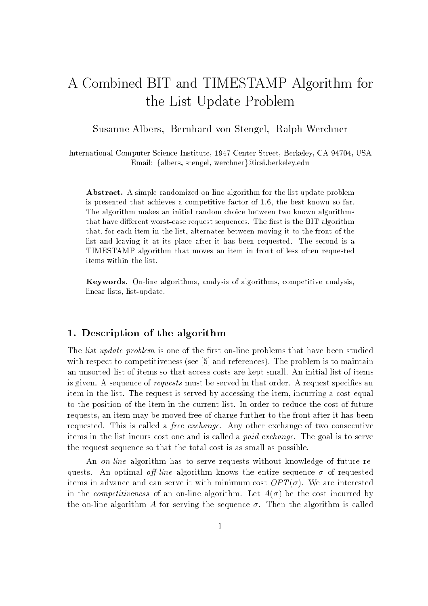# A Combined BIT and TIMESTAMP Algorithm for the List Update Problem

Susanne Albers, Bernhard von Stengel, Ralph Werchner

International Computer Science Institute, 1947 Center Street, Berkeley, CA 94704, USA Email: {albers, stengel, werchner}@icsi.berkeley.edu

Abstract. A simple randomized on-line algorithm for the list update problem is presented that achieves a competitive factor of 1.6, the best known so far. The algorithm makes an initial random choice between two known algorithms that have different worst-case request sequences. The first is the BIT algorithm that, for each item in the list, alternates between moving it to the front of the list and leaving it at its place after it has been requested. The second is a TIMESTAMP algorithm that moves an item in front of less often requested items within the list.

Keywords. On-line algorithms, analysis of algorithms, competitive analysis, linear lists, list-update.

### $\mathcal{L}$  . Description of the algorithm of the algorithm of the algorithm of the algorithm of the algorithm of the algorithm of the algorithm of the algorithm of the algorithm of the algorithm of the algorithm of the algo

The *list update problem* is one of the first on-line problems that have been studied with respect to competitiveness (see [5] and references). The problem is to maintain an unsorted list of items so that access costs are kept small. An initial list of items is given. A sequence of *requests* must be served in that order. A request specifies an item in the list. The request is served by accessing the item, incurring a cost equal to the position of the item in the current list. In order to reduce the cost of future requests, an item may be moved free of charge further to the front after it has been requested. This is called a free exchange. Any other exchange of two consecutive items in the list incurs cost one and is called a paid exchange. The goal is to serve the request sequence so that the total cost is as small as possible.

An *on-line* algorithm has to serve requests without knowledge of future requests. An optimal off-line algorithm knows the entire sequence  $\sigma$  of requested items in advance and can serve it with minimum cost  $OPT(\sigma)$ . We are interested in the *competitiveness* of an on-line algorithm. Let  $A(\sigma)$  be the cost incurred by the on-line algorithm A for serving the sequence  $\sigma$ . Then the algorithm is called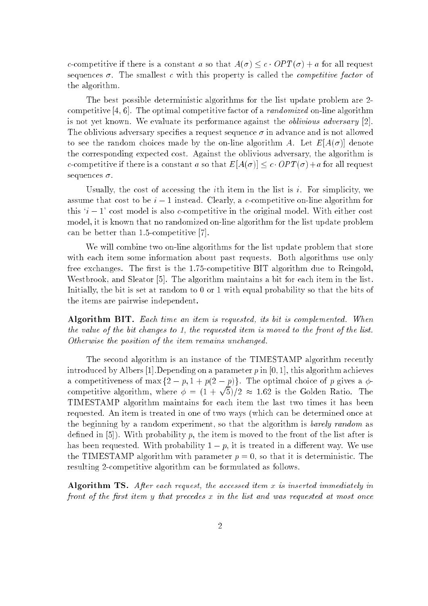c-competitive if there is a constant a so that  $A(\sigma) \leq c \cdot OPT(\sigma) + a$  for all request sequences  $\sigma$ . The smallest c with this property is called the *competitive factor* of the algorithm.

The best possible deterministic algorithms for the list update problem are 2 competitive  $[4, 6]$ . The optimal competitive factor of a *randomized* on-line algorithm is not yet known. We evaluate its performance against the oblivious adversary [2]. The oblivious adversary specifies a request sequence  $\sigma$  in advance and is not allowed to see the random choices made by the on-line algorithm A. Let  $E[A(\sigma)]$  denote the corresponding expected cost. Against the oblivious adversary, the algorithm is c-competitive if there is a constant a so that  $E[A(\sigma)] \leq c \cdot OPT(\sigma) + a$  for all request sequences  $\sigma$ .

Usually, the cost of accessing the *i*th item in the list is *i*. For simplicity, we assume that cost to be  $i-1$  instead. Clearly, a c-competitive on-line algorithm for this  $i - 1$  cost model is also c-competitive in the original model. With either cost model, it is known that no randomized on-line algorithm for the list update problem can be better than 1.5-competitive [7].

We will combine two on-line algorithms for the list update problem that store with each item some information about past requests. Both algorithms use only free exchanges. The first is the  $1.75$ -competitive BIT algorithm due to Reingold, Westbrook, and Sleator [5]. The algorithm maintains a bit for each item in the list. Initially, the bit is set at random to 0 or 1 with equal probability so that the bits of the items are pairwise independent.

Algorithm BIT. Each time an item is requested, its bit is complemented. When the value of the bit changes to 1, the requested item is moved to the front of the list. Otherwise the position of the item remains unchanged.

The second algorithm is an instance of the TIMESTAMP algorithm recently introduced by Albers [1]. Depending on a parameter  $p$  in [0, 1], this algorithm achieves a competitiveness of max  $\{2 - p, 1 + p(2 - p)\}\$ . The optimal choice of p gives a  $\phi$ competitive algorithm, where  $\phi = (1 + \sqrt{5})/2 \approx 1.62$  is the Golden Ratio. The TIMESTAMP algorithm maintains for each item the last two times it has been requested. An item is treated in one of two ways (which can be determined once at the beginning by a random experiment, so that the algorithm is barely random as defined in  $[5]$ ). With probability p, the item is moved to the front of the list after is has been requested. With probability  $1 - p$ , it is treated in a different way. We use the TIMESTAMP algorithm with parameter  $p = 0$ , so that it is deterministic. The resulting 2-competitive algorithm can be formulated as follows.

Algorithm TS. After each request, the accessed item x is inserted immediately in front of the first item y that precedes  $x$  in the list and was requested at most once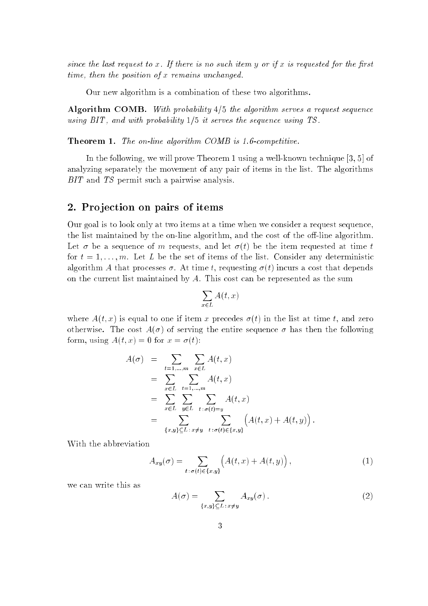since the last request to x. If there is no such item  $y$  or if x is requested for the first time, then the position of x remains unchanged.

Our new algorithm is a combination of these two algorithms.

Algorithm COMB. With probability  $4/5$  the algorithm serves a request sequence using  $BIT$ , and with probability  $1/5$  it serves the sequence using TS.

Theorem 1. The on-line algorithm COMB is 1.6-competitive.

In the following, we will prove Theorem 1 using a well-known technique [3, 5] of analyzing separately the movement of any pair of items in the list. The algorithms BIT and TS permit such a pairwise analysis.

#### 2. Pro jection on pairs of items

Our goal is to look only at two items at a time when we consider a request sequence, the list maintained by the on-line algorithm, and the cost of the off-line algorithm. Let  $\sigma$  be a sequence of m requests, and let  $\sigma(t)$  be the item requested at time t for  $t = 1, \ldots, m$ . Let L be the set of items of the list. Consider any deterministic algorithm A that processes  $\sigma$ . At time t, requesting  $\sigma(t)$  incurs a cost that depends on the current list maintained by A. This cost can be represented as the sum

$$
\sum_{x \in L} A(t, x)
$$

where  $A(t, x)$  is equal to one if item x precedes  $\sigma(t)$  in the list at time t, and zero otherwise. The cost  $A(\sigma)$  of serving the entire sequence  $\sigma$  has then the following form, using  $A(t, x) = 0$  for  $x = \sigma(t)$ :

$$
A(\sigma) = \sum_{t=1,...,m} \sum_{x \in L} A(t, x)
$$
  
= 
$$
\sum_{x \in L} \sum_{t=1,...,m} A(t, x)
$$
  
= 
$$
\sum_{x \in L} \sum_{y \in L} \sum_{t : \sigma(t) = y} A(t, x)
$$
  
= 
$$
\sum_{\{x,y\} \subseteq L : x \neq y} \sum_{t : \sigma(t) \in \{x,y\}} \left( A(t, x) + A(t, y) \right)
$$

With the abbreviation

$$
A_{xy}(\sigma) = \sum_{t:\,\sigma(t)\in\{x,y\}} \left( A(t,x) + A(t,y) \right),\tag{1}
$$

we can write this as

$$
A(\sigma) = \sum_{\{x,y\} \subseteq L : x \neq y} A_{xy}(\sigma).
$$
 (2)

: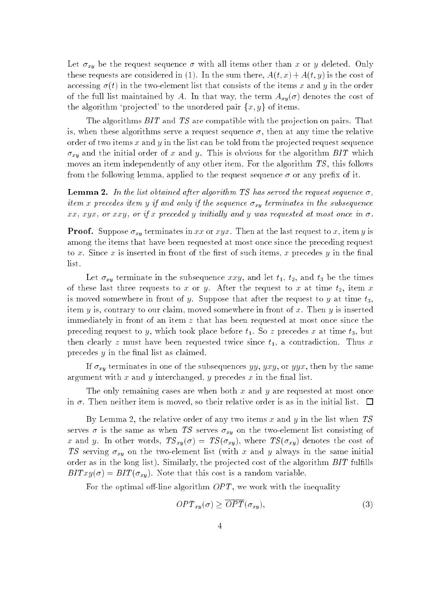Let  $\sigma_{xy}$  be the request sequence  $\sigma$  with all items other than x or y deleted. Only these requests are considered in (1). In the sum there,  $A(t, x) + A(t, y)$  is the cost of accessing  $\sigma(t)$  in the two-element list that consists of the items x and y in the order of the full list maintained by A. In that way, the term  $A_{xy}(\sigma)$  denotes the cost of the algorithm 'projected' to the unordered pair  $\{x, y\}$  of items.

The algorithms BIT and TS are compatible with the projection on pairs. That is, when these algorithms serve a request sequence  $\sigma$ , then at any time the relative order of two items  $x$  and  $y$  in the list can be told from the projected request sequence  $\sigma_{xy}$  and the initial order of x and y. This is obvious for the algorithm BIT which moves an item independently of any other item. For the algorithm TS, this follows from the following lemma, applied to the request sequence  $\sigma$  or any prefix of it.

**Lemma 2.** In the list obtained after algorithm TS has served the request sequence  $\sigma$ , item x precedes item y if and only if the sequence  $\sigma_{xy}$  terminates in the subsequence xx, xyx, or xxy, or if x preceded y initially and y was requested at most once in  $\sigma$ .

**Proof.** Suppose  $\sigma_{xy}$  terminates in xx or xyx. Then at the last request to x, item y is among the items that have been requested at most once since the preceding request to x. Since x is inserted in front of the first of such items, x precedes  $y$  in the final list.

Let  $\sigma_{xy}$  terminate in the subsequence xxy, and let  $t_1$ ,  $t_2$ , and  $t_3$  be the times of these last three requests to x or y. After the request to x at time  $t_2$ , item x is moved somewhere in front of y. Suppose that after the request to y at time  $t_3$ , item  $y$  is, contrary to our claim, moved somewhere in front of  $x$ . Then  $y$  is inserted immediately in front of an item  $z$  that has been requested at most once since the preceding request to y, which took place before  $t_1$ . So z precedes x at time  $t_3$ , but then clearly z must have been requested twice since  $t_1$ , a contradiction. Thus x precedes  $y$  in the final list as claimed.

If  $\sigma_{xy}$  terminates in one of the subsequences yy, yxy, or yyx, then by the same argument with  $x$  and  $y$  interchanged,  $y$  precedes  $x$  in the final list.

The only remaining cases are when both  $x$  and  $y$  are requested at most once in  $\sigma$ . Then neither item is moved, so their relative order is as in the initial list.  $\Box$ 

By Lemma 2, the relative order of any two items  $x$  and  $y$  in the list when TS serves  $\sigma$  is the same as when TS serves  $\sigma_{xy}$  on the two-element list consisting of x and y. In other words,  $TS_{xy}(\sigma) = TS(\sigma_{xy})$ , where  $TS(\sigma_{xy})$  denotes the cost of TS serving  $\sigma_{xy}$  on the two-element list (with x and y always in the same initial order as in the long list). Similarly, the projected cost of the algorithm  $BIT$  fulfills  $BITxy(\sigma) = BIT(\sigma_{xy})$ . Note that this cost is a random variable.

For the optimal off-line algorithm  $OPT$ , we work with the inequality

$$
OPT_{xy}(\sigma) \ge \overline{OPT}(\sigma_{xy}),\tag{3}
$$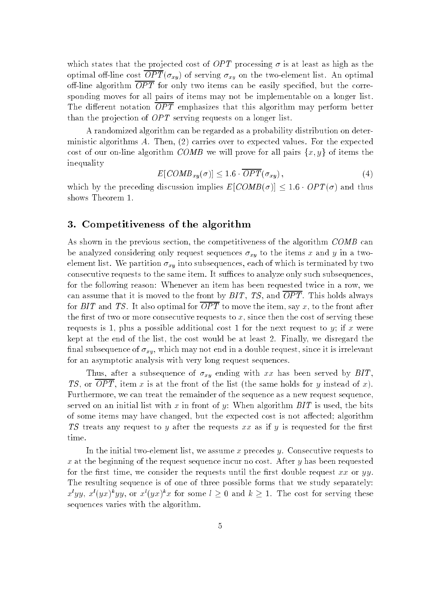which states that the projected cost of OPT processing  $\sigma$  is at least as high as the optimal off-line cost  $\overline{OPT}(\sigma_{xy})$  of serving  $\sigma_{xy}$  on the two-element list. An optimal off-line algorithm  $\overline{OPT}$  for only two items can be easily specified, but the corresponding moves for all pairs of items may not be implementable on a longer list. The different notation  $\overline{OPT}$  emphasizes that this algorithm may perform better than the projection of  $OPT$  serving requests on a longer list.

A randomized algorithm can be regarded as a probability distribution on deterministic algorithms  $A$ . Then,  $(2)$  carries over to expected values. For the expected cost of our on-line algorithm COMB we will prove for all pairs  $\{x, y\}$  of items the inequality

$$
E[COMB_{xy}(\sigma)] \le 1.6 \cdot \overline{OPT}(\sigma_{xy}), \qquad (4)
$$

which by the preceding discussion implies  $E[COMB(\sigma)] \leq 1.6 \cdot OPT(\sigma)$  and thus shows Theorem 1.

### 3. Competitiveness of the algorithm

As shown in the previous section, the competitiveness of the algorithm COMB can be analyzed considering only request sequences  $\sigma_{xy}$  to the items x and y in a twoelement list. We partition  $\sigma_{xy}$  into subsequences, each of which is terminated by two consecutive requests to the same item. It suffices to analyze only such subsequences, for the following reason: Whenever an item has been requested twice in a row, we can assume that it is moved to the front by  $BIT, TS,$  and  $\overline{OPT}$ . This holds always for BIT and TS. It also optimal for  $\overline{OPT}$  to move the item, say x, to the front after the first of two or more consecutive requests to  $x$ , since then the cost of serving these requests is 1, plus a possible additional cost 1 for the next request to  $y$ ; if x were kept at the end of the list, the cost would be at least 2. Finally, we disregard the final subsequence of  $\sigma_{xy}$ , which may not end in a double request, since it is irrelevant for an asymptotic analysis with very long request sequences.

Thus, after a subsequence of  $\sigma_{xy}$  ending with xx has been served by BIT, TS, or  $\overline{OPT}$ , item x is at the front of the list (the same holds for y instead of x). Furthermore, we can treat the remainder of the sequence as a new request sequence, served on an initial list with x in front of y: When algorithm  $BIT$  is used, the bits of some items may have changed, but the expected cost is not affected; algorithm TS treats any request to y after the requests  $xx$  as if y is requested for the first time.

In the initial two-element list, we assume x precedes y. Consecutive requests to x at the beginning of the request sequence incur no cost. After  $y$  has been requested for the first time, we consider the requests until the first double request  $xx$  or  $yy$ . The resulting sequence is of one of three possible forms that we study separately:  $x^lyy, x^l(yx)^kyy$ , or  $x^l(yx)^kx$  for some  $l\geq 0$  and  $k\geq 1$ . The cost for serving these sequences varies with the algorithm.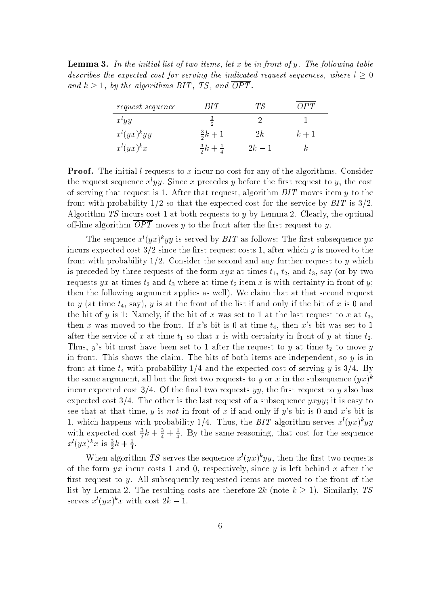**Lemma 3.** In the initial list of two items, let x be in front of y. The following table describes the expected cost for serving the indicated request sequences, where  $l > 0$ and  $k \geq 1$ , by the algorithms BIT, TS, and  $\overline{OPT}$ .

| <i>request sequence</i> | RIT.                       | ТS     |       |
|-------------------------|----------------------------|--------|-------|
| $x^lyy$                 | $\overline{2}$             |        |       |
| $x^{l}(yx)^{k}yy$       | $rac{3}{2}k + 1$           | 2k     | $k+1$ |
| $x^{l}(yx)^{k}x$        | $rac{3}{2}k + \frac{1}{4}$ | $2k-1$ |       |

**Proof.** The initial l requests to x incur no cost for any of the algorithms. Consider the request sequence  $x^*yy$ . Since  $x$  precedes  $y$  before the first request to  $y,$  the cost of serving that request is 1. After that request, algorithm BIT moves item y to the front with probability  $1/2$  so that the expected cost for the service by  $BIT$  is  $3/2$ . Algorithm TS incurs cost 1 at both requests to y by Lemma 2. Clearly, the optimal off-line algorithm  $\overline{OPT}$  moves y to the front after the first request to y.

The sequence  $x(yx)$  by is served by BIT as follows: The first subsequence  $yx$ incurs expected cost  $3/2$  since the first request costs 1, after which y is moved to the front with probability  $1/2$ . Consider the second and any further request to y which is preceded by three requests of the form  $xyx$  at times  $t_1$ ,  $t_2$ , and  $t_3$ , say (or by two requests yx at times  $t_2$  and  $t_3$  where at time  $t_2$  item x is with certainty in front of y; then the following argument applies as well). We claim that at that second request to y (at time  $t_4$ , say), y is at the front of the list if and only if the bit of x is 0 and the bit of y is 1: Namely, if the bit of x was set to 1 at the last request to x at  $t_3$ , then x was moved to the front. If x's bit is 0 at time  $t_4$ , then x's bit was set to 1 after the service of x at time  $t_1$  so that x is with certainty in front of y at time  $t_2$ . Thus, y's bit must have been set to 1 after the request to y at time  $t_2$  to move y in front. This shows the claim. The bits of both items are independent, so y is in front at time  $t_4$  with probability 1/4 and the expected cost of serving y is 3/4. By the same argument, all but the first two requests to  $y$  or  $x$  in the subsequence  $(yx)^{\ast}$ incur expected cost  $3/4$ . Of the final two requests yy, the first request to y also has expected cost  $3/4$ . The other is the last request of a subsequence yxyy; it is easy to see that at that time, y is not in front of x if and only if y's bit is 0 and x's bit is 1, which happens with probability 1/4. Thus, the BIT algorithm serves  $x^{(y)}(yx)^{k}$ with expected cost  $\frac{3}{2}k + \frac{3}{4} + \frac{1}{4}$ . By the same reasoning, that cost for the sequence  $x^{(y)}(yx)^{k}x$  is  $\frac{3}{2}k + \frac{1}{4}$ .

When algorithm 15 serves the sequence  $x(yx)$ "yy, then the first two requests of the form  $yx$  incur costs 1 and 0, respectively, since y is left behind x after the first request to y. All subsequently requested items are moved to the front of the list by Lemma 2. The resulting costs are therefore  $2k$  (note  $k \ge 1$ ). Similarly, TS serves  $x^i(yx)^k x$  with cost  $2k-1$ .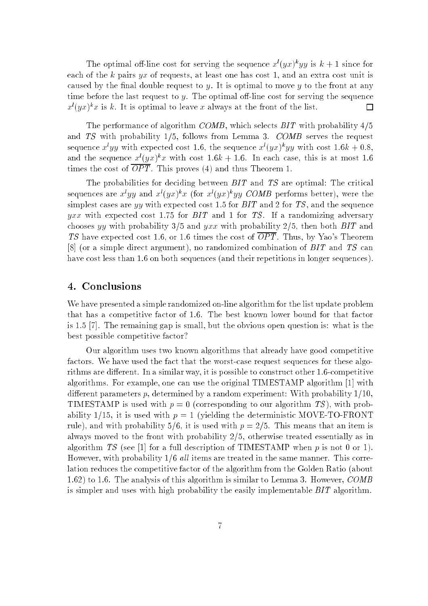The optimal off-line cost for serving the sequence  $x^{(y)}(yx)^{k}yy$  is  $k+1$  since for each of the k pairs yx of requests, at least one has cost 1, and an extra cost unit is caused by the final double request to  $y$ . It is optimal to move  $y$  to the front at any time before the last request to y. The optimal off-line cost for serving the sequence  $x^{(i)}(yx)^{k}x$  is k. It is optimal to leave x always at the front of the list.  $\Box$ 

The performance of algorithm COMB, which selects  $BIT$  with probability  $4/5$ and TS with probability  $1/5$ , follows from Lemma 3. COMB serves the request sequence  $x^tyy$  with expected cost 1.6, the sequence  $x^t(yx)^kyy$  with cost  $1.6k + 0.8$ , and the sequence  $x^{\ell}(yx)^{k}x$  with cost  $1.6k + 1.6$ . In each case, this is at most 1.6 times the cost of  $\overline{OPT}$ . This proves (4) and thus Theorem 1.

The probabilities for deciding between BIT and TS are optimal: The critical sequences are  $x^iyy$  and  $x^i(yx)^{n}x$  (for  $x^i(yx)^{n}yy$  COMB performs better), were the simplest cases are yy with expected cost 1.5 for  $BIT$  and 2 for  $TS$ , and the sequence yxx with expected cost 1.75 for  $BIT$  and 1 for TS. If a randomizing adversary chooses yy with probability 3/5 and yxx with probability 2/5, then both BIT and TS have expected cost 1.6, or 1.6 times the cost of  $\overline{OPT}$ . Thus, by Yao's Theorem [8] (or a simple direct argument), no randomized combination of BIT and TS can have cost less than 1.6 on both sequences (and their repetitions in longer sequences).

### 4. Conclusions

We have presented a simple randomized on-line algorithm for the list update problem that has a competitive factor of 1.6. The best known lower bound for that factor is 1.5 [7]. The remaining gap is small, but the obvious open question is: what is the best possible competitive factor?

Our algorithm uses two known algorithms that already have good competitive factors. We have used the fact that the worst-case request sequences for these algorithms are different. In a similar way, it is possible to construct other 1.6-competitive algorithms. For example, one can use the original TIMESTAMP algorithm [1] with different parameters p, determined by a random experiment: With probability  $1/10$ . TIMESTAMP is used with  $p = 0$  (corresponding to our algorithm TS), with probability 1/15, it is used with  $p = 1$  (yielding the deterministic MOVE-TO-FRONT rule), and with probability 5/6, it is used with  $p = 2/5$ . This means that an item is always moved to the front with probability  $2/5$ , otherwise treated essentially as in algorithm TS (see [1] for a full description of TIMESTAMP when  $p$  is not 0 or 1). However, with probability  $1/6$  *all* items are treated in the same manner. This correlation reduces the competitive factor of the algorithm from the Golden Ratio (about 1.62) to 1.6. The analysis of this algorithm is similar to Lemma 3. However, COMB is simpler and uses with high probability the easily implementable BIT algorithm.